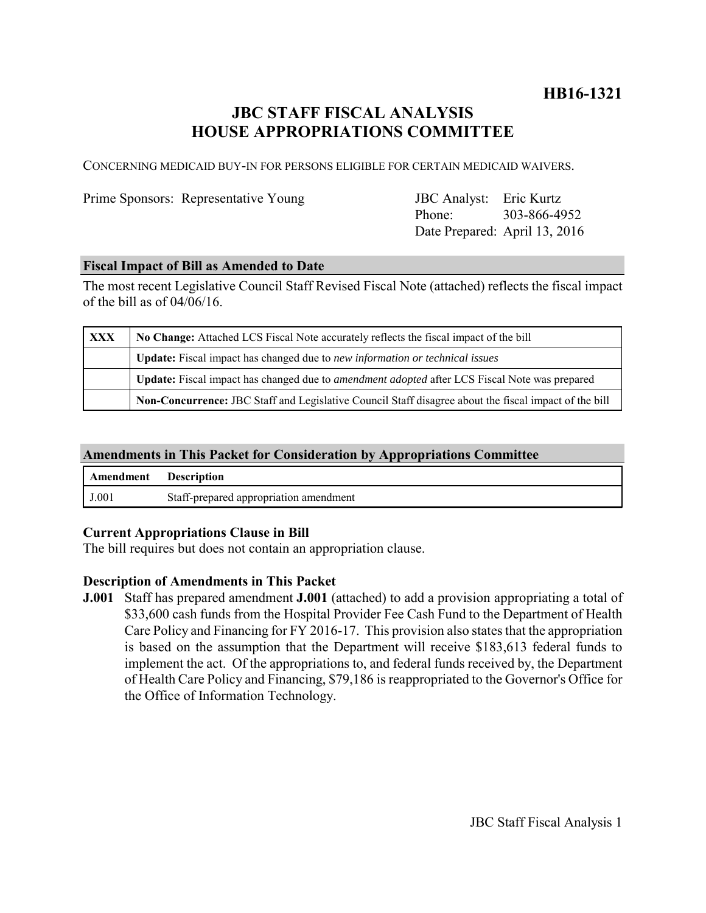# **HB16-1321**

# **JBC STAFF FISCAL ANALYSIS HOUSE APPROPRIATIONS COMMITTEE**

CONCERNING MEDICAID BUY-IN FOR PERSONS ELIGIBLE FOR CERTAIN MEDICAID WAIVERS.

Prime Sponsors: Representative Young

Phone: Date Prepared: April 13, 2016 JBC Analyst: Eric Kurtz 303-866-4952

# **Fiscal Impact of Bill as Amended to Date**

The most recent Legislative Council Staff Revised Fiscal Note (attached) reflects the fiscal impact of the bill as of 04/06/16.

| <b>XXX</b> | No Change: Attached LCS Fiscal Note accurately reflects the fiscal impact of the bill                       |
|------------|-------------------------------------------------------------------------------------------------------------|
|            | Update: Fiscal impact has changed due to new information or technical issues                                |
|            | <b>Update:</b> Fiscal impact has changed due to <i>amendment adopted</i> after LCS Fiscal Note was prepared |
|            | Non-Concurrence: JBC Staff and Legislative Council Staff disagree about the fiscal impact of the bill       |

# **Amendments in This Packet for Consideration by Appropriations Committee**

| <b>Amendment</b> Description |                                        |
|------------------------------|----------------------------------------|
| J.001                        | Staff-prepared appropriation amendment |

# **Current Appropriations Clause in Bill**

The bill requires but does not contain an appropriation clause.

# **Description of Amendments in This Packet**

**J.001** Staff has prepared amendment **J.001** (attached) to add a provision appropriating a total of \$33,600 cash funds from the Hospital Provider Fee Cash Fund to the Department of Health Care Policy and Financing for FY 2016-17. This provision also states that the appropriation is based on the assumption that the Department will receive \$183,613 federal funds to implement the act. Of the appropriations to, and federal funds received by, the Department of Health Care Policy and Financing, \$79,186 is reappropriated to the Governor's Office for the Office of Information Technology.